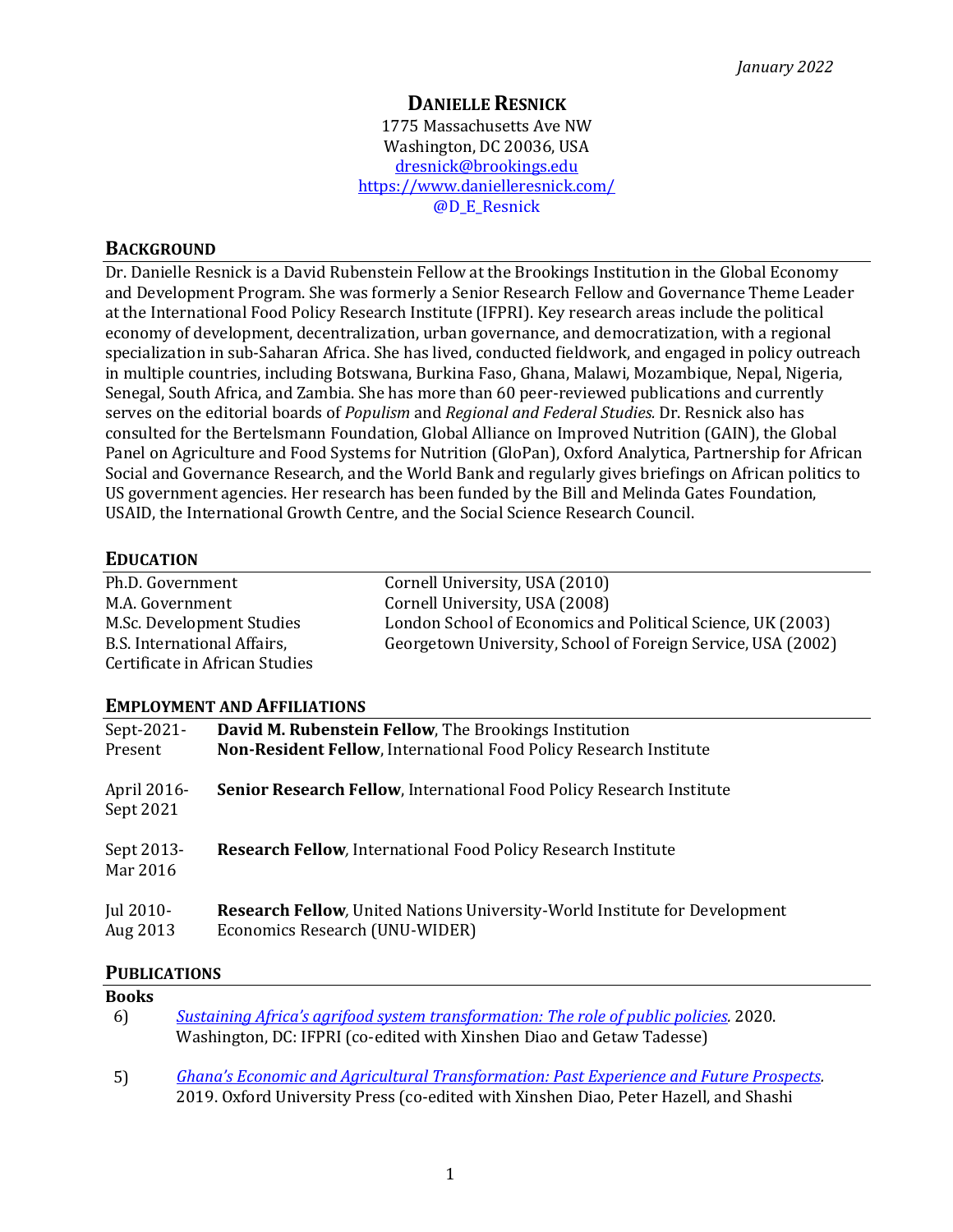### **DANIELLE RESNICK**

1775 Massachusetts Ave NW Washington, DC 20036, USA [dresnick@brookings.edu](mailto:dresnick@brookings.edu) <https://www.danielleresnick.com/> @D\_E\_Resnick

### **BACKGROUND**

Dr. Danielle Resnick is a David Rubenstein Fellow at the Brookings Institution in the Global Economy and Development Program. She was formerly a Senior Research Fellow and Governance Theme Leader at the International Food Policy Research Institute (IFPRI). Key research areas include the political economy of development, decentralization, urban governance, and democratization, with a regional specialization in sub-Saharan Africa. She has lived, conducted fieldwork, and engaged in policy outreach in multiple countries, including Botswana, Burkina Faso, Ghana, Malawi, Mozambique, Nepal, Nigeria, Senegal, South Africa, and Zambia. She has more than 60 peer-reviewed publications and currently serves on the editorial boards of *Populism* and *Regional and Federal Studies.* Dr. Resnick also has consulted for the Bertelsmann Foundation, Global Alliance on Improved Nutrition (GAIN), the Global Panel on Agriculture and Food Systems for Nutrition (GloPan), Oxford Analytica, Partnership for African Social and Governance Research, and the World Bank and regularly gives briefings on African politics to US government agencies. Her research has been funded by the Bill and Melinda Gates Foundation, USAID, the International Growth Centre, and the Social Science Research Council.

### **EDUCATION**

| Ph.D. Government               | Cornell University, USA (2010)                               |
|--------------------------------|--------------------------------------------------------------|
| M.A. Government                | Cornell University, USA (2008)                               |
| M.Sc. Development Studies      | London School of Economics and Political Science, UK (2003)  |
| B.S. International Affairs,    | Georgetown University, School of Foreign Service, USA (2002) |
| Certificate in African Studies |                                                              |

### **EMPLOYMENT AND AFFILIATIONS**

| Sept-2021-               | David M. Rubenstein Fellow, The Brookings Institution                             |
|--------------------------|-----------------------------------------------------------------------------------|
| Present                  | Non-Resident Fellow, International Food Policy Research Institute                 |
| April 2016-<br>Sept 2021 | Senior Research Fellow, International Food Policy Research Institute              |
| Sept 2013-<br>Mar 2016   | <b>Research Fellow, International Food Policy Research Institute</b>              |
| Jul 2010-                | <b>Research Fellow, United Nations University-World Institute for Development</b> |
| Aug 2013                 | Economics Research (UNU-WIDER)                                                    |

### **PUBLICATIONS**

| <b>Books</b> |                                                                                                                                                                                        |
|--------------|----------------------------------------------------------------------------------------------------------------------------------------------------------------------------------------|
| 6)           | Sustaining Africa's agrifood system transformation: The role of public policies. 2020.                                                                                                 |
|              | Washington, DC: IFPRI (co-edited with Xinshen Diao and Getaw Tadesse)                                                                                                                  |
| 5)           | <b>Ghana's Economic and Agricultural Transformation: Past Experience and Future Prospects.</b><br>2019. Oxford University Press (co-edited with Xinshen Diao, Peter Hazell, and Shashi |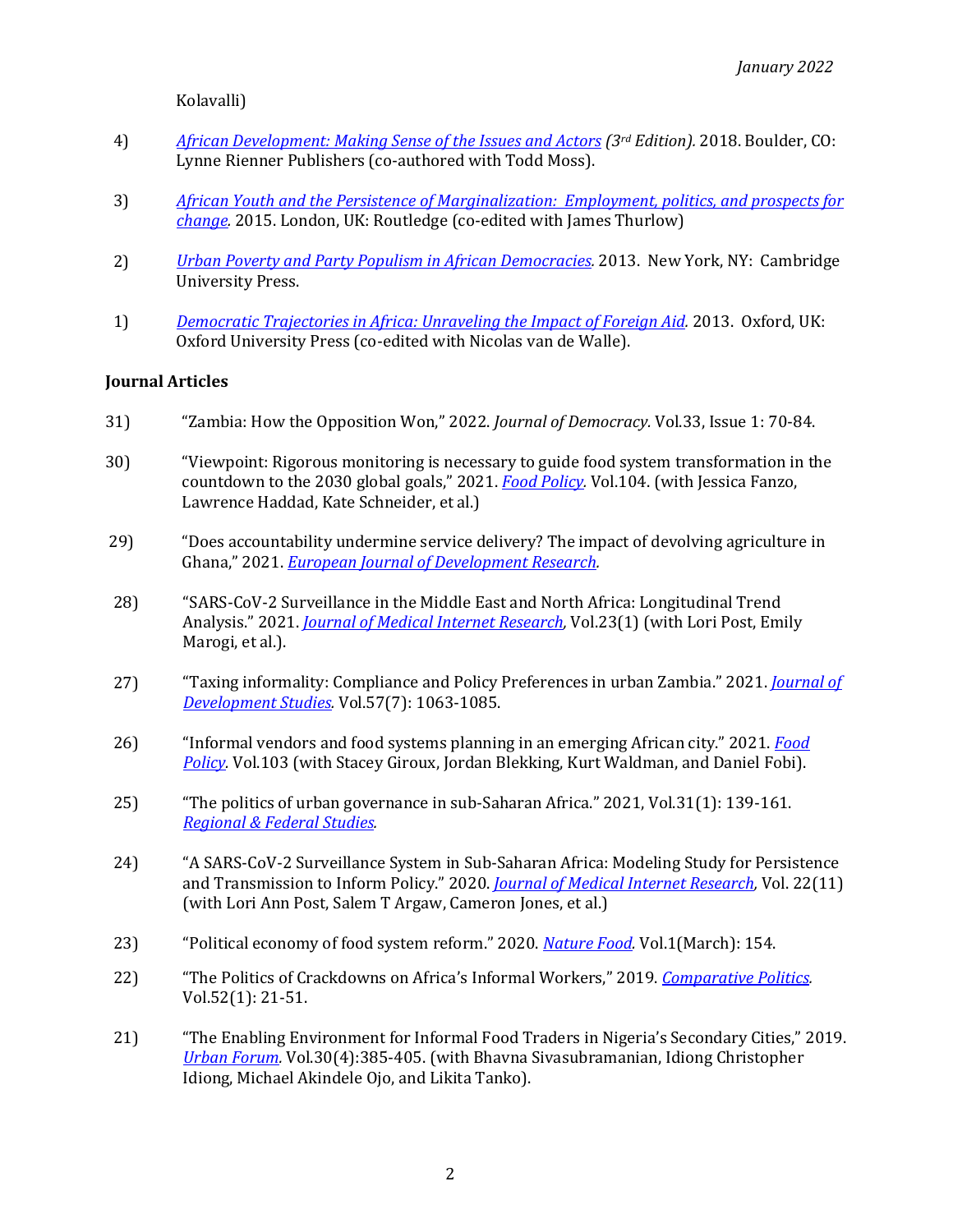Kolavalli)

- 4) *[African Development: Making Sense of the Issues and Actors](https://www.rienner.com/uploads/5b294cdf5d91e.pdf) (3rd Edition).* 2018. Boulder, CO: Lynne Rienner Publishers (co-authored with Todd Moss).
- 3) *[African Youth and the Persistence of Marginalization: Employment, politics, and prospects for](https://www.routledge.com/African-Youth-and-the-Persistence-of-Marginalization-Employment-politics/Resnick-Thurlow/p/book/9781138630451?utm_source=cjaffiliates&utm_medium=affiliates&cjevent=ed575989747c11ec819562ab0a82b820)  [change.](https://www.routledge.com/African-Youth-and-the-Persistence-of-Marginalization-Employment-politics/Resnick-Thurlow/p/book/9781138630451?utm_source=cjaffiliates&utm_medium=affiliates&cjevent=ed575989747c11ec819562ab0a82b820)* 2015. London, UK: Routledge (co-edited with James Thurlow)
- 2) *[Urban Poverty and Party Populism in African Democracies.](https://www.cambridge.org/core/books/urban-poverty-and-party-populism-in-african-democracies/4AE03CBFA661306A27B3C79F2B71F35B)* 2013. New York, NY: Cambridge University Press.
- 1) *[Democratic Trajectories in Africa: Unraveling the Impact of Foreign Aid.](https://oxford.universitypressscholarship.com/view/10.1093/acprof:oso/9780199686285.001.0001/acprof-9780199686285)* 2013. Oxford, UK: Oxford University Press (co-edited with Nicolas van de Walle).

### **Journal Articles**

- 31) "Zambia: How the Opposition Won," 2022. *Journal of Democracy.* Vol.33, Issue 1: 70-84.
- 30) "Viewpoint: Rigorous monitoring is necessary to guide food system transformation in the countdown to the 2030 global goals," 2021. *[Food Policy.](https://linkinghub.elsevier.com/retrieve/pii/S0306919221001433)* Vol.104. (with Jessica Fanzo, Lawrence Haddad, Kate Schneider, et al.)
- 29) "Does accountability undermine service delivery? The impact of devolving agriculture in Ghana," 2021. *[European Journal of Development Research.](https://link.springer.com/article/10.1057%2Fs41287-021-00408-x)*
- 28) "SARS-CoV-2 Surveillance in the Middle East and North Africa: Longitudinal Trend Analysis." 2021. *[Journal of Medical Internet Research,](https://www.jmir.org/2021/1/e25830/)* Vol.23(1) (with Lori Post, Emily Marogi, et al.).
- 27) "Taxing informality: Compliance and Policy Preferences in urban Zambia." 2021. *[Journal of](https://www.tandfonline.com/doi/full/10.1080/00220388.2020.1841171)  [Development Studies.](https://www.tandfonline.com/doi/full/10.1080/00220388.2020.1841171)* Vol.57(7): 1063-1085.
- 26) "Informal vendors and food systems planning in an emerging African city." 2021. *[Food](https://www.sciencedirect.com/science/article/pii/S0306919220302037) [Policy.](https://www.sciencedirect.com/science/article/pii/S0306919220302037)* Vol.103 (with Stacey Giroux, Jordan Blekking, Kurt Waldman, and Daniel Fobi).
- 25) "The politics of urban governance in sub-Saharan Africa." 2021, Vol.31(1): 139-161. *[Regional & Federal Studies.](https://www.tandfonline.com/doi/full/10.1080/13597566.2020.1774371)*
- 24) "A SARS-CoV-2 Surveillance System in Sub-Saharan Africa: Modeling Study for Persistence and Transmission to Inform Policy." 2020. *[Journal of Medical Internet Research,](https://www.jmir.org/2020/11/e24248)* Vol. 22(11) (with Lori Ann Post, Salem T Argaw, Cameron Jones, et al.)
- 23) "Political economy of food system reform." 2020. *[Nature Food.](https://www.nature.com/articles/s43016-020-0049-2)* Vol.1(March): 154.
- 22) "The Politics of Crackdowns on Africa's Informal Workers," 2019. *[Comparative](https://www.ingentaconnect.com/content/cuny/cp/2019/00000052/00000001/art00003;jsessionid=bd5lcohkb8x8.x-ic-live-01) Politics.*  Vol.52(1): 21-51.
- 21) "The Enabling Environment for Informal Food Traders in Nigeria's Secondary Cities," 2019. *[Urban Forum.](https://link.springer.com/article/10.1007%2Fs12132-019-09371-7)* Vol.30(4):385-405. (with Bhavna Sivasubramanian, Idiong Christopher Idiong, Michael Akindele Ojo, and Likita Tanko).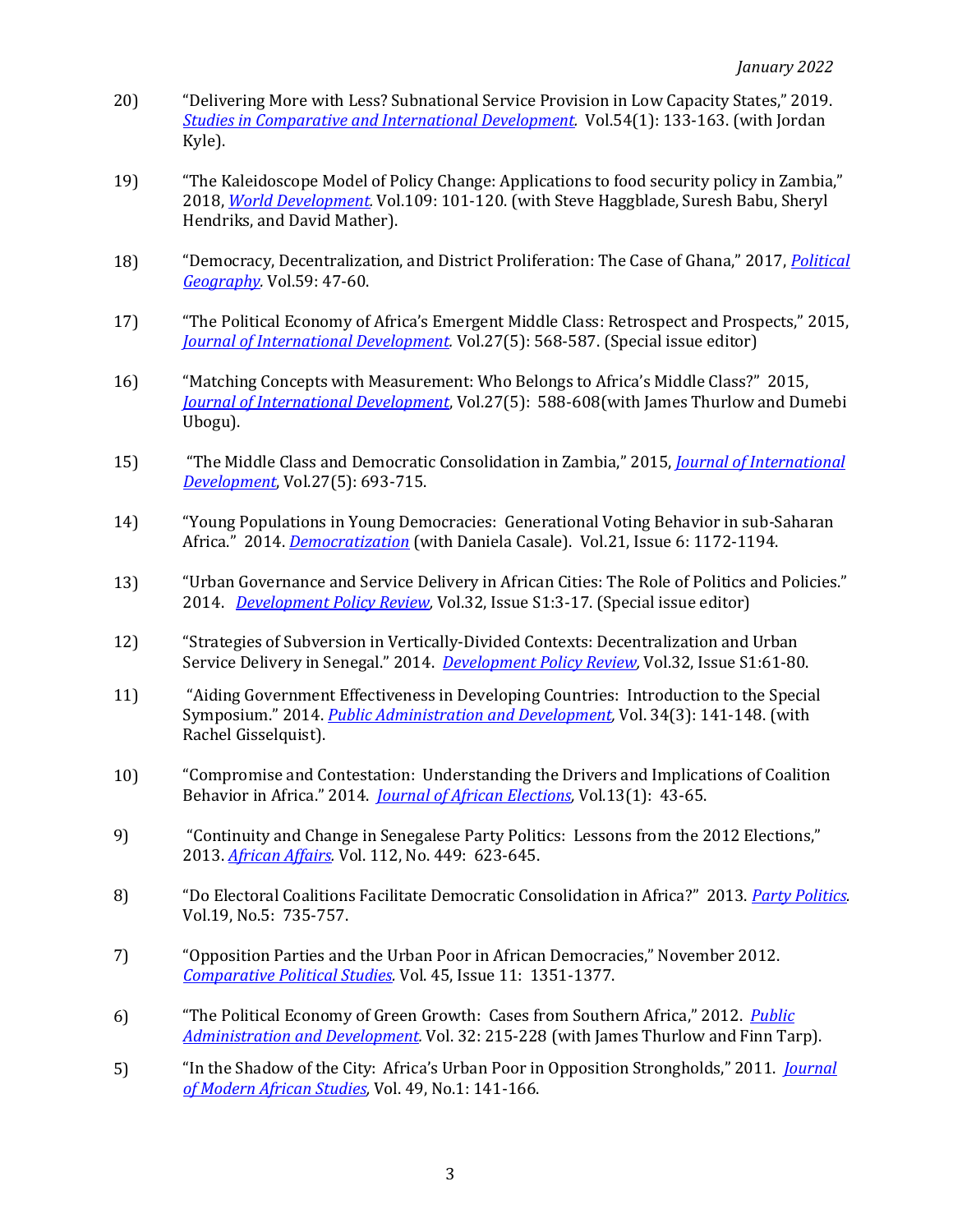- 20) "Delivering More with Less? Subnational Service Provision in Low Capacity States," 2019. *[Studies in Comparative and International Development.](https://link.springer.com/article/10.1007%2Fs12116-018-9276-z)* Vol.54(1): 133-163. (with Jordan Kyle).
- 19) "The Kaleidoscope Model of Policy Change: Applications to food security policy in Zambia," 2018, *[World Development.](https://www.sciencedirect.com/science/article/pii/S0305750X18301232?via%3Dihub)* Vol.109: 101-120. (with Steve Haggblade, Suresh Babu, Sheryl Hendriks, and David Mather).
- 18) "Democracy, Decentralization, and District Proliferation: The Case of Ghana," 2017, *[Political](https://www.sciencedirect.com/science/article/abs/pii/S0962629816301469?via%3Dihub)  [Geography.](https://www.sciencedirect.com/science/article/abs/pii/S0962629816301469?via%3Dihub)* Vol.59: 47-60.
- 17) "The Political Economy of Africa's Emergent Middle Class: Retrospect and Prospects," 2015, *[Journal of International Development.](https://onlinelibrary.wiley.com/doi/10.1002/jid.3110)* Vol.27(5): 568-587. (Special issue editor)
- 16) "Matching Concepts with Measurement: Who Belongs to Africa's Middle Class?" 2015, *[Journal of International Development](https://onlinelibrary.wiley.com/doi/10.1002/jid.3105)*, Vol.27(5): 588-608(with James Thurlow and Dumebi Ubogu).
- 15) "The Middle Class and Democratic Consolidation in Zambia," 2015, *[Journal of International](https://onlinelibrary.wiley.com/doi/10.1002/jid.3101)  [Development](https://onlinelibrary.wiley.com/doi/10.1002/jid.3101)*, Vol.27(5): 693-715.
- 14) "Young Populations in Young Democracies: Generational Voting Behavior in sub-Saharan Africa." 2014. *[Democratization](https://www.tandfonline.com/doi/abs/10.1080/13510347.2013.793673)* (with Daniela Casale). Vol.21, Issue 6: 1172-1194.
- 13) "Urban Governance and Service Delivery in African Cities: The Role of Politics and Policies." 2014. *[Development Policy Review,](https://onlinelibrary.wiley.com/doi/10.1111/dpr.12066)* Vol.32, Issue S1:3-17. (Special issue editor)
- 12) "Strategies of Subversion in Vertically-Divided Contexts: Decentralization and Urban Service Delivery in Senegal." 2014. *[Development Policy Review,](https://onlinelibrary.wiley.com/doi/10.1111/dpr.12069)* Vol.32, Issue S1:61-80.
- 11) "Aiding Government Effectiveness in Developing Countries: Introduction to the Special Symposium." 2014. *[Public Administration and Development,](https://onlinelibrary.wiley.com/doi/10.1002/pad.1694)* Vol. 34(3): 141-148. (with Rachel Gisselquist).
- 10) "Compromise and Contestation: Understanding the Drivers and Implications of Coalition Behavior in Africa." 2014. *[Journal of African Elections,](https://journals.co.za/doi/abs/10.10520/EJC158412)* Vol.13(1): 43-65.
- 9) "Continuity and Change in Senegalese Party Politics: Lessons from the 2012 Elections," 2013. *[African Affairs.](https://academic.oup.com/afraf/article-abstract/112/449/623/100746?redirectedFrom=fulltext)* Vol. 112, No. 449: 623-645.
- 8) "Do Electoral Coalitions Facilitate Democratic Consolidation in Africa?" 2013. *[Party Politics.](https://journals.sagepub.com/doi/10.1177/1354068811410369)*  Vol.19, No.5: 735-757.
- 7) "Opposition Parties and the Urban Poor in African Democracies," November 2012. *[Comparative Political Studies.](https://journals.sagepub.com/doi/10.1177/0010414012437166)* Vol. 45, Issue 11: 1351-1377.
- 6) "The Political Economy of Green Growth: Cases from Southern Africa," 2012. *[Public](https://onlinelibrary.wiley.com/doi/10.1002/pad.1619)  [Administration and Development.](https://onlinelibrary.wiley.com/doi/10.1002/pad.1619)* Vol. 32: 215-228 (with James Thurlow and Finn Tarp).
- 5) "In the Shadow of the City: Africa's Urban Poor in Opposition Strongholds," 2011. *[Journal](https://www.cambridge.org/core/journals/journal-of-modern-african-studies/article/abs/in-the-shadow-of-the-city-africas-urban-poor-in-opposition-strongholds/74D56E8A92F460D747BBC9684E45D3A5)  [of Modern African Studies,](https://www.cambridge.org/core/journals/journal-of-modern-african-studies/article/abs/in-the-shadow-of-the-city-africas-urban-poor-in-opposition-strongholds/74D56E8A92F460D747BBC9684E45D3A5)* Vol. 49, No.1: 141-166.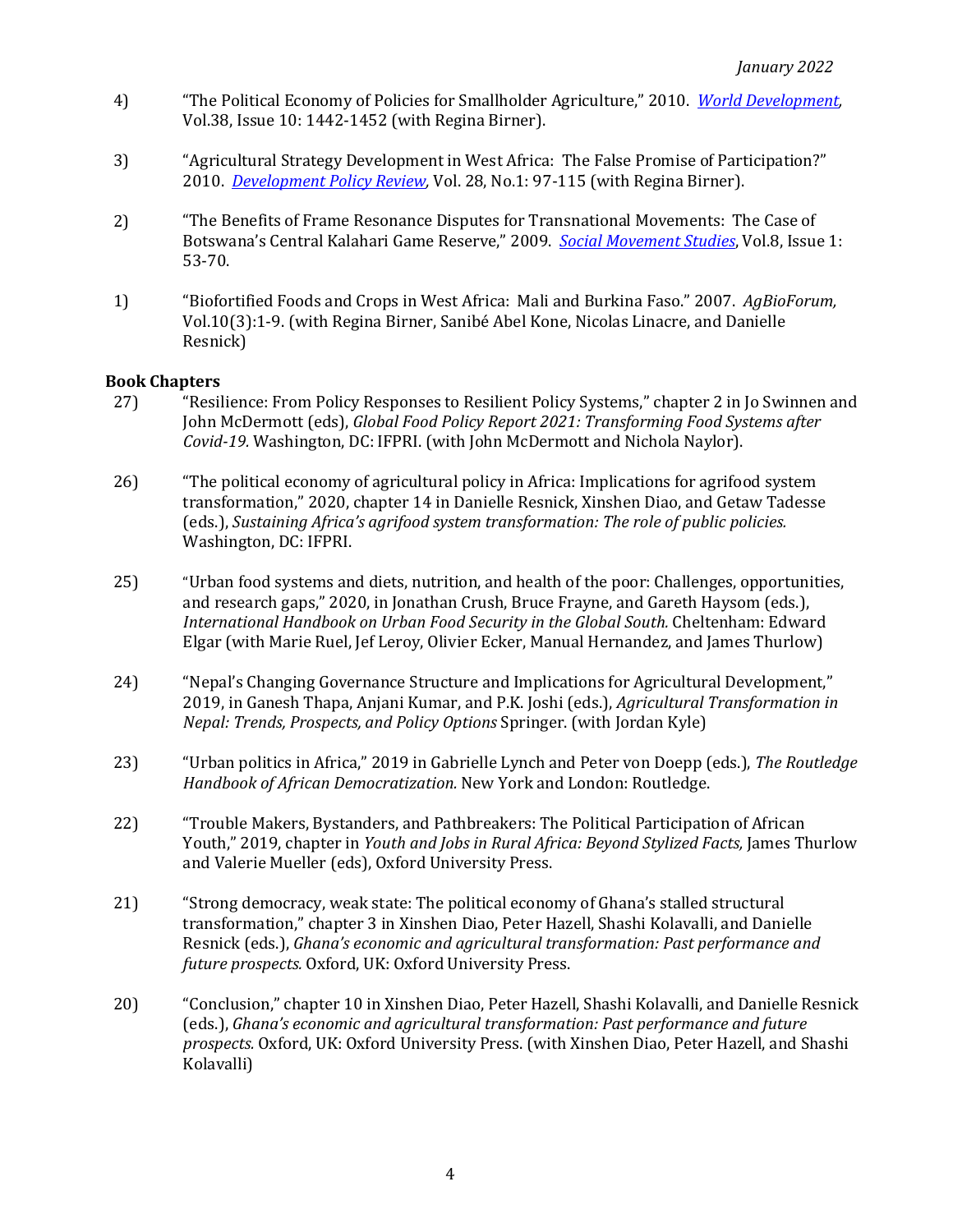- 4) "The Political Economy of Policies for Smallholder Agriculture," 2010. *[World Development,](https://www.sciencedirect.com/science/article/abs/pii/S0305750X10000975?via%3Dihub)*  Vol.38, Issue 10: 1442-1452 (with Regina Birner).
- 3) "Agricultural Strategy Development in West Africa: The False Promise of Participation?" 2010. *[Development Policy Review,](https://onlinelibrary.wiley.com/doi/10.1111/j.1467-7679.2010.00476.x)* Vol. 28, No.1: 97-115 (with Regina Birner).
- 2) "The Benefits of Frame Resonance Disputes for Transnational Movements: The Case of Botswana's Central Kalahari Game Reserve," 2009. *[Social Movement Studies](https://www.tandfonline.com/doi/abs/10.1080/14742830802591168)*, Vol.8, Issue 1: 53-70.
- 1) "Biofortified Foods and Crops in West Africa: Mali and Burkina Faso." 2007. *AgBioForum,*  Vol.10(3):1-9. (with Regina Birner, Sanibé Abel Kone, Nicolas Linacre, and Danielle Resnick)

### **Book Chapters**

- 27) "Resilience: From Policy Responses to Resilient Policy Systems," chapter 2 in Jo Swinnen and John McDermott (eds), *Global Food Policy Report 2021: Transforming Food Systems after Covid-19.* Washington, DC: IFPRI. (with John McDermott and Nichola Naylor).
- 26) "The political economy of agricultural policy in Africa: Implications for agrifood system transformation," 2020, chapter 14 in Danielle Resnick, Xinshen Diao, and Getaw Tadesse (eds.), *Sustaining Africa's agrifood system transformation: The role of public policies.* Washington, DC: IFPRI.
- 25) "Urban food systems and diets, nutrition, and health of the poor: Challenges, opportunities, and research gaps," 2020, in Jonathan Crush, Bruce Frayne, and Gareth Haysom (eds.), *International Handbook on Urban Food Security in the Global South.* Cheltenham: Edward Elgar (with Marie Ruel, Jef Leroy, Olivier Ecker, Manual Hernandez, and James Thurlow)
- 24) "Nepal's Changing Governance Structure and Implications for Agricultural Development," 2019, in Ganesh Thapa, Anjani Kumar, and P.K. Joshi (eds.), *Agricultural Transformation in Nepal: Trends, Prospects, and Policy Options* Springer. (with Jordan Kyle)
- 23) "Urban politics in Africa," 2019 in Gabrielle Lynch and Peter von Doepp (eds.), *The Routledge Handbook of African Democratization.* New York and London: Routledge.
- 22) "Trouble Makers, Bystanders, and Pathbreakers: The Political Participation of African Youth," 2019, chapter in *Youth and Jobs in Rural Africa: Beyond Stylized Facts,* James Thurlow and Valerie Mueller (eds), Oxford University Press.
- 21) "Strong democracy, weak state: The political economy of Ghana's stalled structural transformation," chapter 3 in Xinshen Diao, Peter Hazell, Shashi Kolavalli, and Danielle Resnick (eds.), *Ghana's economic and agricultural transformation: Past performance and future prospects.* Oxford, UK: Oxford University Press.
- 20) "Conclusion," chapter 10 in Xinshen Diao, Peter Hazell, Shashi Kolavalli, and Danielle Resnick (eds.), *Ghana's economic and agricultural transformation: Past performance and future prospects.* Oxford, UK: Oxford University Press. (with Xinshen Diao, Peter Hazell, and Shashi Kolavalli)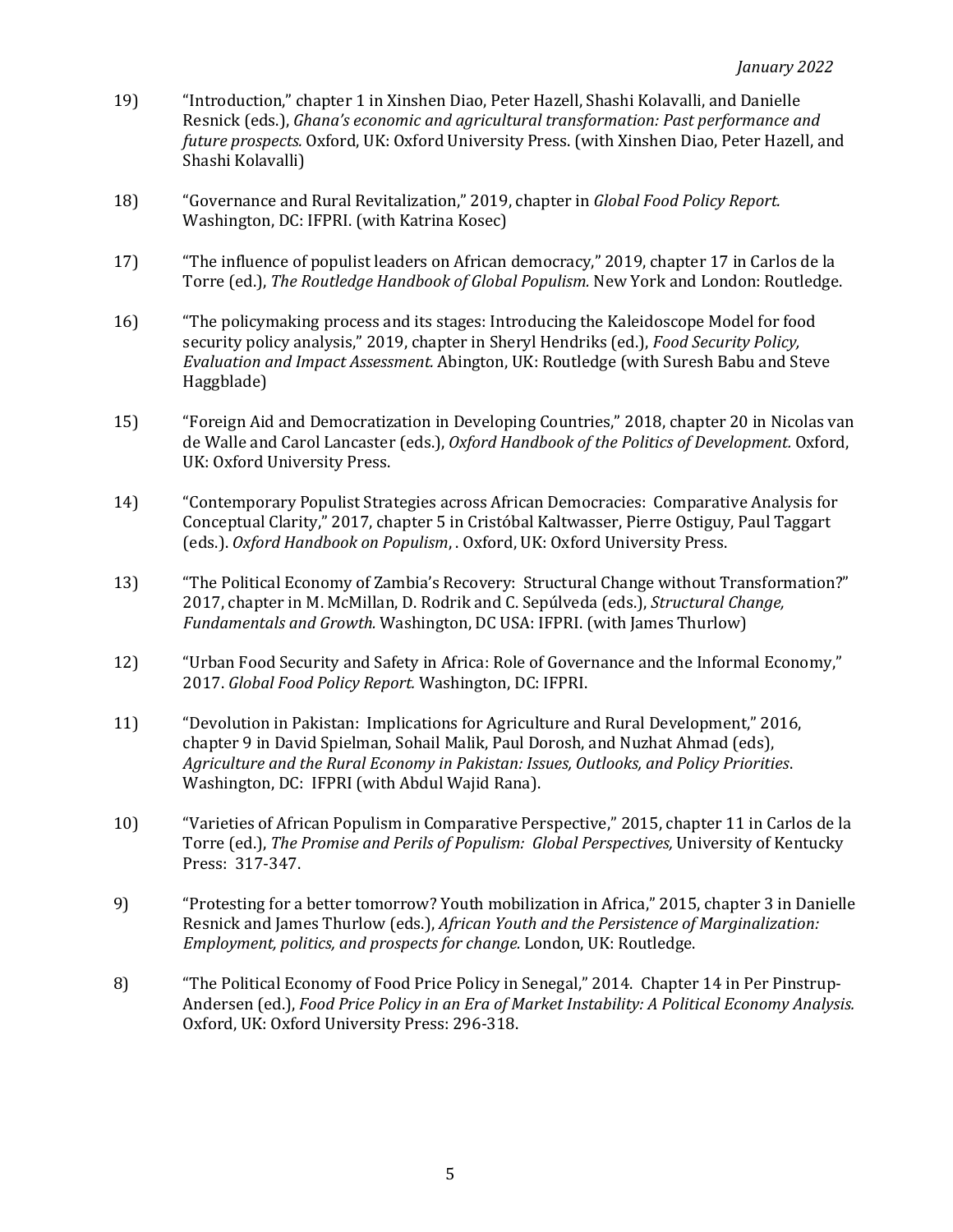- 19) "Introduction," chapter 1 in Xinshen Diao, Peter Hazell, Shashi Kolavalli, and Danielle Resnick (eds.), *Ghana's economic and agricultural transformation: Past performance and future prospects.* Oxford, UK: Oxford University Press. (with Xinshen Diao, Peter Hazell, and Shashi Kolavalli)
- 18) "Governance and Rural Revitalization," 2019, chapter in *Global Food Policy Report.*  Washington, DC: IFPRI. (with Katrina Kosec)
- 17) "The influence of populist leaders on African democracy," 2019, chapter 17 in Carlos de la Torre (ed.), *The Routledge Handbook of Global Populism.* New York and London: Routledge.
- 16) "The policymaking process and its stages: Introducing the Kaleidoscope Model for food security policy analysis," 2019, chapter in Sheryl Hendriks (ed.), *Food Security Policy, Evaluation and Impact Assessment.* Abington, UK: Routledge (with Suresh Babu and Steve Haggblade)
- 15) "Foreign Aid and Democratization in Developing Countries," 2018, chapter 20 in Nicolas van de Walle and Carol Lancaster (eds.), *Oxford Handbook of the Politics of Development.* Oxford, UK: Oxford University Press.
- 14) "Contemporary Populist Strategies across African Democracies: Comparative Analysis for Conceptual Clarity," 2017, chapter 5 in Cristóbal Kaltwasser, Pierre Ostiguy, Paul Taggart (eds.). *Oxford Handbook on Populism*, . Oxford, UK: Oxford University Press.
- 13) "The Political Economy of Zambia's Recovery: Structural Change without Transformation?" 2017, chapter in M. McMillan, D. Rodrik and C. Sepúlveda (eds.), *Structural Change, Fundamentals and Growth.* Washington, DC USA: IFPRI. (with James Thurlow)
- 12) "Urban Food Security and Safety in Africa: Role of Governance and the Informal Economy," 2017. *Global Food Policy Report.* Washington, DC: IFPRI.
- 11) "Devolution in Pakistan: Implications for Agriculture and Rural Development," 2016, chapter 9 in David Spielman, Sohail Malik, Paul Dorosh, and Nuzhat Ahmad (eds), *Agriculture and the Rural Economy in Pakistan: Issues, Outlooks, and Policy Priorities*. Washington, DC: IFPRI (with Abdul Wajid Rana).
- 10) "Varieties of African Populism in Comparative Perspective," 2015, chapter 11 in Carlos de la Torre (ed.), *The Promise and Perils of Populism: Global Perspectives,* University of Kentucky Press: 317-347.
- 9) "Protesting for a better tomorrow? Youth mobilization in Africa," 2015, chapter 3 in Danielle Resnick and James Thurlow (eds.), *African Youth and the Persistence of Marginalization: Employment, politics, and prospects for change.* London, UK: Routledge.
- 8) "The Political Economy of Food Price Policy in Senegal," 2014. Chapter 14 in Per Pinstrup-Andersen (ed.), *Food Price Policy in an Era of Market Instability: A Political Economy Analysis.*  Oxford, UK: Oxford University Press: 296-318.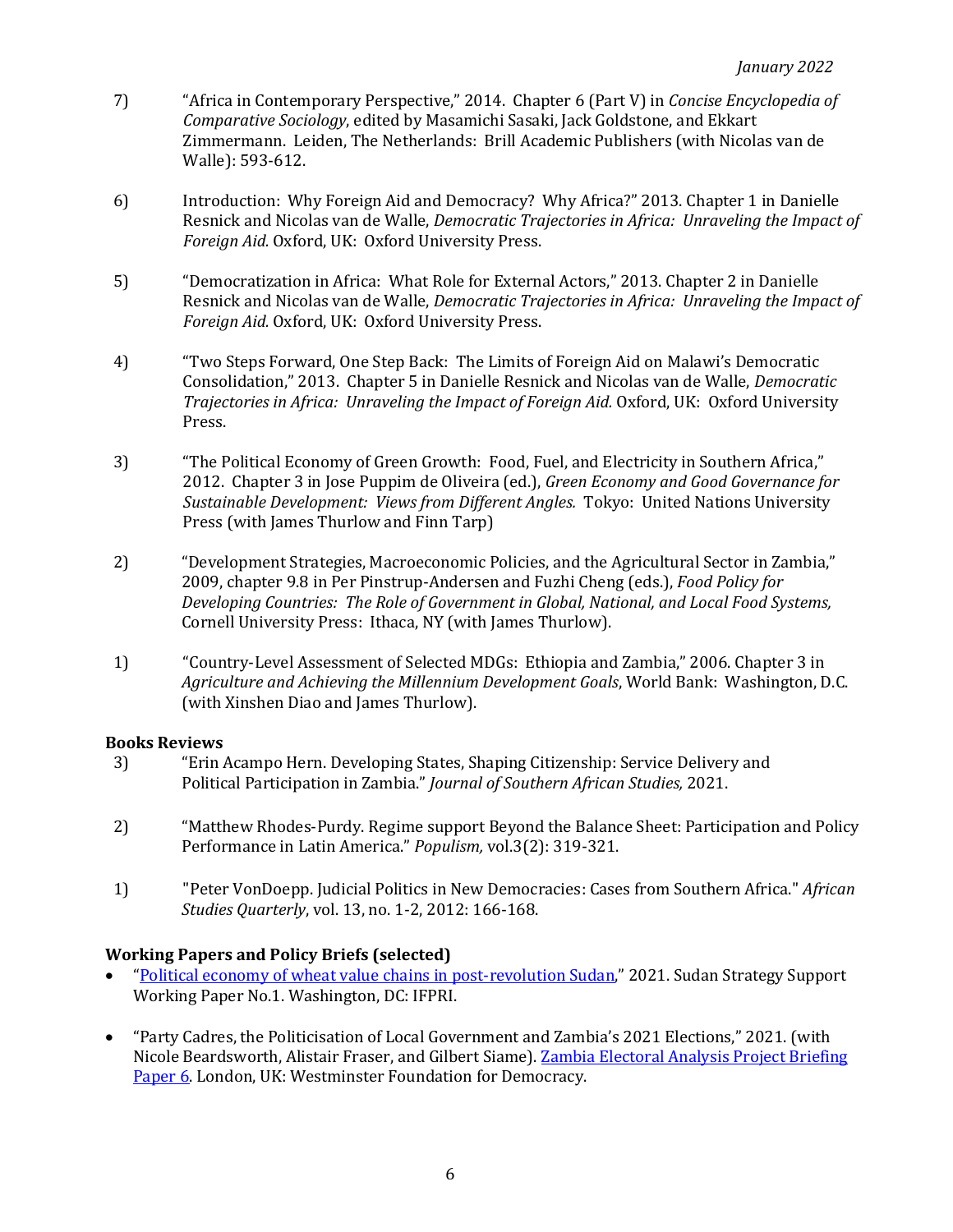- 7) "Africa in Contemporary Perspective," 2014. Chapter 6 (Part V) in *Concise Encyclopedia of Comparative Sociology*, edited by Masamichi Sasaki, Jack Goldstone, and Ekkart Zimmermann. Leiden, The Netherlands: Brill Academic Publishers (with Nicolas van de Walle): 593-612.
- 6) Introduction: Why Foreign Aid and Democracy? Why Africa?" 2013. Chapter 1 in Danielle Resnick and Nicolas van de Walle, *Democratic Trajectories in Africa: Unraveling the Impact of Foreign Aid.* Oxford, UK: Oxford University Press.
- 5) "Democratization in Africa: What Role for External Actors," 2013. Chapter 2 in Danielle Resnick and Nicolas van de Walle, *Democratic Trajectories in Africa: Unraveling the Impact of Foreign Aid.* Oxford, UK: Oxford University Press.
- 4) "Two Steps Forward, One Step Back: The Limits of Foreign Aid on Malawi's Democratic Consolidation," 2013. Chapter 5 in Danielle Resnick and Nicolas van de Walle, *Democratic Trajectories in Africa: Unraveling the Impact of Foreign Aid.* Oxford, UK: Oxford University Press.
- 3) "The Political Economy of Green Growth: Food, Fuel, and Electricity in Southern Africa," 2012. Chapter 3 in Jose Puppim de Oliveira (ed.), *Green Economy and Good Governance for Sustainable Development: Views from Different Angles.* Tokyo: United Nations University Press (with James Thurlow and Finn Tarp)
- 2) "Development Strategies, Macroeconomic Policies, and the Agricultural Sector in Zambia," 2009, chapter 9.8 in Per Pinstrup-Andersen and Fuzhi Cheng (eds.), *Food Policy for Developing Countries: The Role of Government in Global, National, and Local Food Systems,*  Cornell University Press: Ithaca, NY (with James Thurlow).
- 1) "Country-Level Assessment of Selected MDGs: Ethiopia and Zambia," 2006. Chapter 3 in *Agriculture and Achieving the Millennium Development Goals*, World Bank: Washington, D.C. (with Xinshen Diao and James Thurlow).

### **Books Reviews**

- 3) "Erin Acampo Hern. Developing States, Shaping Citizenship: Service Delivery and Political Participation in Zambia." *Journal of Southern African Studies,* 2021.
- 2) "Matthew Rhodes-Purdy. Regime support Beyond the Balance Sheet: Participation and Policy Performance in Latin America." *Populism,* vol.3(2): 319-321.
- 1) "Peter VonDoepp. Judicial Politics in New Democracies: Cases from Southern Africa." *African Studies Quarterly*, vol. 13, no. 1-2, 2012: 166-168.

## **Working Papers and Policy Briefs (selected)**

- "[Political economy of wheat value chains in post-revolution Sudan](https://www.ifpri.org/publication/political-economy-wheat-value-chains-post-revolution-sudan)," 2021. Sudan Strategy Support Working Paper No.1. Washington, DC: IFPRI.
- "Party Cadres, the Politicisation of Local Government and Zambia's 2021 Elections," 2021. (with Nicole Beardsworth, Alistair Fraser, and Gilbert Siame). [Zambia Electoral Analysis Project Briefing](https://saipar.org/wp-content/uploads/2021/12/ZAMBIA-ELECTORAL-ANALYSIS-PROJECT06.pdf)  [Paper 6.](https://saipar.org/wp-content/uploads/2021/12/ZAMBIA-ELECTORAL-ANALYSIS-PROJECT06.pdf) London, UK: Westminster Foundation for Democracy.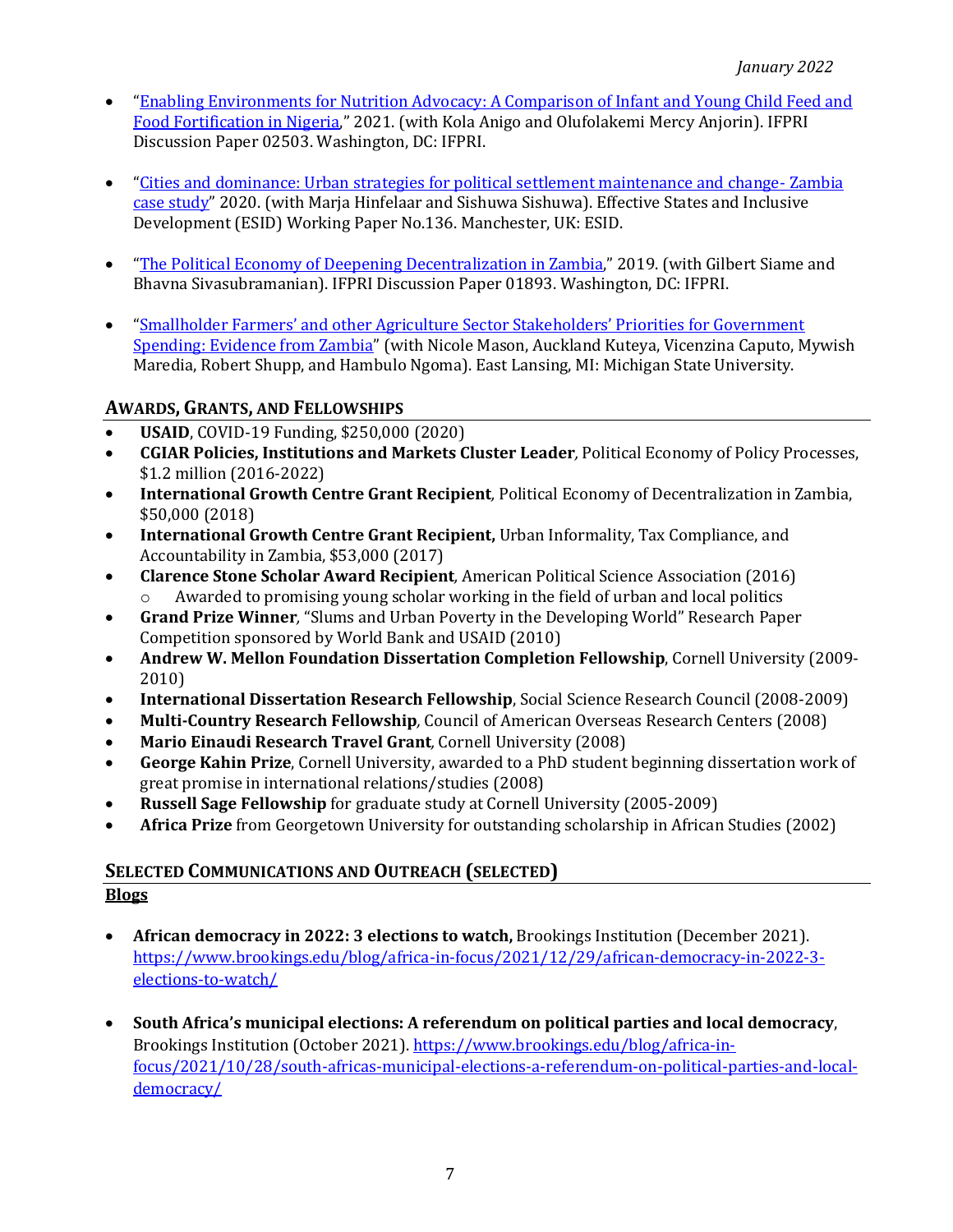- "[Enabling Environments for Nutrition Advocacy: A Comparison of Infant](https://www.ifpri.org/publication/enabling-environments-nutrition-advocacy-comparison-infant-and-young-child-feeding-and) and Young Child Feed and [Food Fortification in Nigeria](https://www.ifpri.org/publication/enabling-environments-nutrition-advocacy-comparison-infant-and-young-child-feeding-and)," 2021. (with Kola Anigo and Olufolakemi Mercy Anjorin). IFPRI Discussion Paper 02503. Washington, DC: IFPRI.
- "[Cities and dominance: Urban strategies for political settlement maintenance and change-](https://www.effective-states.org/wp-content/uploads/working_papers/final-pdfs/esid_wp_136_hinfelaar_resnick_sishuwa.pdf) Zambia [case study](https://www.effective-states.org/wp-content/uploads/working_papers/final-pdfs/esid_wp_136_hinfelaar_resnick_sishuwa.pdf)" 2020. (with Marja Hinfelaar and Sishuwa Sishuwa). Effective States and Inclusive Development (ESID) Working Paper No.136. Manchester, UK: ESID.
- "[The Political Economy of Deepening Decentralization in Zambia,](https://www.ifpri.org/publication/deepening-decentralization-zambia-political-economy-constraints-and-opportunities-reform)" 2019. (with Gilbert Siame and Bhavna Sivasubramanian). IFPRI Discussion Paper 01893. Washington, DC: IFPRI.
- ["Smallholder Farmers' and other Agriculture Sector Stakeholders' Priorities for Government](https://www.canr.msu.edu/resources/smallholder-farmers-and-other-agricultural-sector-stakeholders-priorities-for-government-spending-evidence-from-zambia)  [Spending: Evidence from Zambia](https://www.canr.msu.edu/resources/smallholder-farmers-and-other-agricultural-sector-stakeholders-priorities-for-government-spending-evidence-from-zambia)" (with Nicole Mason, Auckland Kuteya, Vicenzina Caputo, Mywish Maredia, Robert Shupp, and Hambulo Ngoma). East Lansing, MI: Michigan State University.

# **AWARDS, GRANTS, AND FELLOWSHIPS**

- **USAID**, COVID-19 Funding, \$250,000 (2020)
- **CGIAR Policies, Institutions and Markets Cluster Leader***,* Political Economy of Policy Processes, \$1.2 million (2016-2022)
- **International Growth Centre Grant Recipient***,* Political Economy of Decentralization in Zambia, \$50,000 (2018)
- **International Growth Centre Grant Recipient,** Urban Informality, Tax Compliance, and Accountability in Zambia, \$53,000 (2017)
- **Clarence Stone Scholar Award Recipient***,* American Political Science Association (2016) o Awarded to promising young scholar working in the field of urban and local politics
- **Grand Prize Winner***,* "Slums and Urban Poverty in the Developing World" Research Paper Competition sponsored by World Bank and USAID (2010)
- **Andrew W. Mellon Foundation Dissertation Completion Fellowship**, Cornell University (2009- 2010)
- **International Dissertation Research Fellowship**, Social Science Research Council (2008-2009)
- **Multi-Country Research Fellowship***,* Council of American Overseas Research Centers (2008)
- **Mario Einaudi Research Travel Grant***,* Cornell University (2008)
- **George Kahin Prize**, Cornell University, awarded to a PhD student beginning dissertation work of great promise in international relations/studies (2008)
- **Russell Sage Fellowship** for graduate study at Cornell University (2005-2009)
- **Africa Prize** from Georgetown University for outstanding scholarship in African Studies (2002)

# **SELECTED COMMUNICATIONS AND OUTREACH (SELECTED) Blogs**

- **African democracy in 2022: 3 elections to watch,** Brookings Institution (December 2021). [https://www.brookings.edu/blog/africa-in-focus/2021/12/29/african-democracy-in-2022-3](https://www.brookings.edu/blog/africa-in-focus/2021/12/29/african-democracy-in-2022-3-elections-to-watch/) [elections-to-watch/](https://www.brookings.edu/blog/africa-in-focus/2021/12/29/african-democracy-in-2022-3-elections-to-watch/)
- **South Africa's municipal elections: A referendum on political parties and local democracy**, Brookings Institution (October 2021)[. https://www.brookings.edu/blog/africa-in](https://www.brookings.edu/blog/africa-in-focus/2021/10/28/south-africas-municipal-elections-a-referendum-on-political-parties-and-local-democracy/)[focus/2021/10/28/south-africas-municipal-elections-a-referendum-on-political-parties-and-local](https://www.brookings.edu/blog/africa-in-focus/2021/10/28/south-africas-municipal-elections-a-referendum-on-political-parties-and-local-democracy/)[democracy/](https://www.brookings.edu/blog/africa-in-focus/2021/10/28/south-africas-municipal-elections-a-referendum-on-political-parties-and-local-democracy/)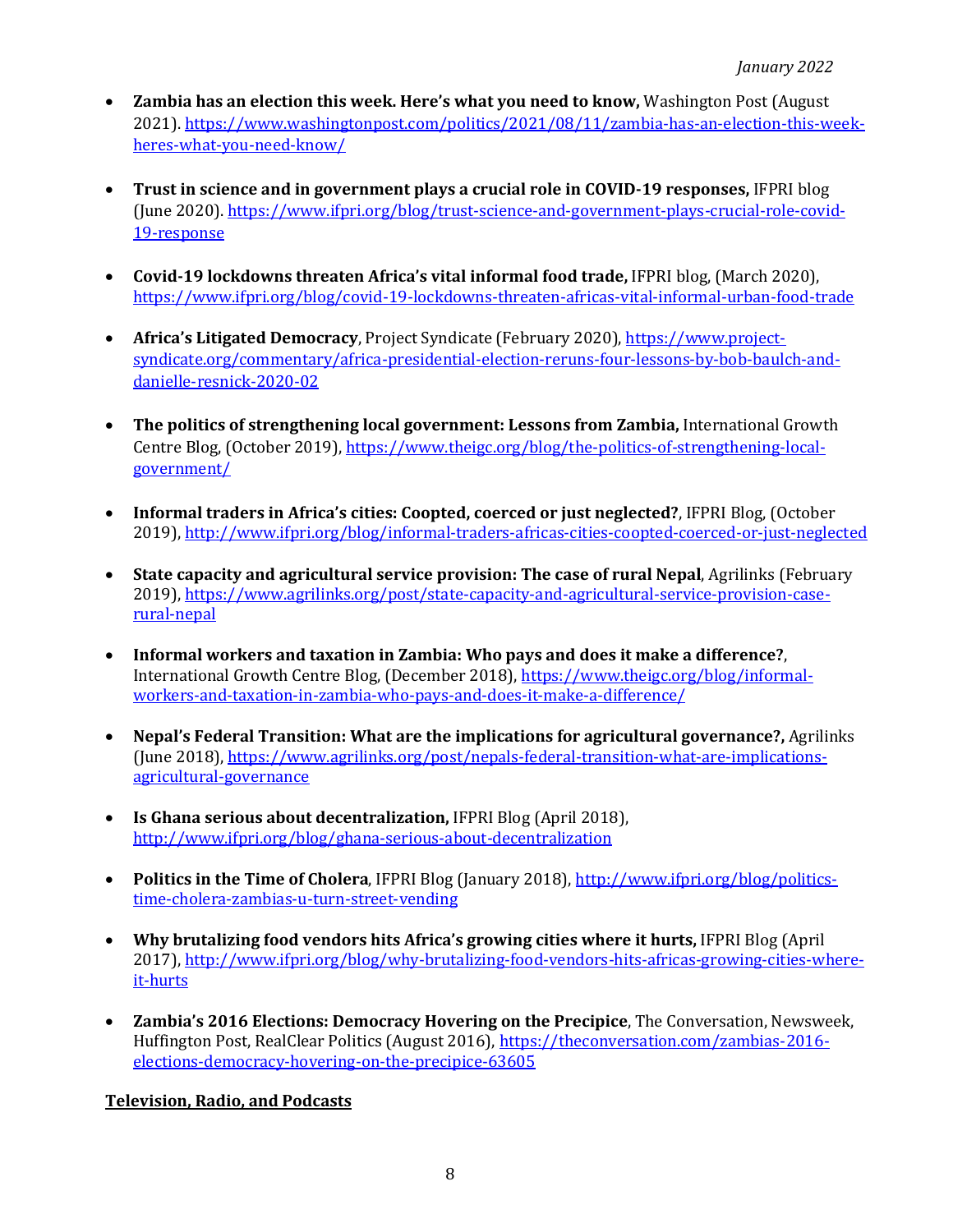- **Zambia has an election this week. Here's what you need to know,** Washington Post (August 2021)[. https://www.washingtonpost.com/politics/2021/08/11/zambia-has-an-election-this-week](https://www.washingtonpost.com/politics/2021/08/11/zambia-has-an-election-this-week-heres-what-you-need-know/)[heres-what-you-need-know/](https://www.washingtonpost.com/politics/2021/08/11/zambia-has-an-election-this-week-heres-what-you-need-know/)
- **Trust in science and in government plays a crucial role in COVID-19 responses,** IFPRI blog (June 2020)[. https://www.ifpri.org/blog/trust-science-and-government-plays-crucial-role-covid-](https://www.ifpri.org/blog/trust-science-and-government-plays-crucial-role-covid-19-response)[19-response](https://www.ifpri.org/blog/trust-science-and-government-plays-crucial-role-covid-19-response)
- **Covid-19 lockdowns threaten Africa's vital informal food trade,** IFPRI blog, (March 2020), <https://www.ifpri.org/blog/covid-19-lockdowns-threaten-africas-vital-informal-urban-food-trade>
- **Africa's Litigated Democracy**, Project Syndicate (February 2020), [https://www.project](https://www.project-syndicate.org/commentary/africa-presidential-election-reruns-four-lessons-by-bob-baulch-and-danielle-resnick-2020-02)[syndicate.org/commentary/africa-presidential-election-reruns-four-lessons-by-bob-baulch-and](https://www.project-syndicate.org/commentary/africa-presidential-election-reruns-four-lessons-by-bob-baulch-and-danielle-resnick-2020-02)[danielle-resnick-2020-02](https://www.project-syndicate.org/commentary/africa-presidential-election-reruns-four-lessons-by-bob-baulch-and-danielle-resnick-2020-02)
- **The politics of strengthening local government: Lessons from Zambia,** International Growth Centre Blog, (October 2019), [https://www.theigc.org/blog/the-politics-of-strengthening-local](https://www.theigc.org/blog/the-politics-of-strengthening-local-government/)[government/](https://www.theigc.org/blog/the-politics-of-strengthening-local-government/)
- **Informal traders in Africa's cities: Coopted, coerced or just neglected?**, IFPRI Blog, (October 2019), <http://www.ifpri.org/blog/informal-traders-africas-cities-coopted-coerced-or-just-neglected>
- **State capacity and agricultural service provision: The case of rural Nepal**, Agrilinks (February 2019)[, https://www.agrilinks.org/post/state-capacity-and-agricultural-service-provision-case](https://www.agrilinks.org/post/state-capacity-and-agricultural-service-provision-case-rural-nepal)[rural-nepal](https://www.agrilinks.org/post/state-capacity-and-agricultural-service-provision-case-rural-nepal)
- **Informal workers and taxation in Zambia: Who pays and does it make a difference?**, International Growth Centre Blog, (December 2018), [https://www.theigc.org/blog/informal](https://www.theigc.org/blog/informal-workers-and-taxation-in-zambia-who-pays-and-does-it-make-a-difference/)[workers-and-taxation-in-zambia-who-pays-and-does-it-make-a-difference/](https://www.theigc.org/blog/informal-workers-and-taxation-in-zambia-who-pays-and-does-it-make-a-difference/)
- Nepal's Federal Transition: What are the implications for agricultural governance?, Agrilinks (June 2018)[, https://www.agrilinks.org/post/nepals-federal-transition-what-are-implications](https://www.agrilinks.org/post/nepals-federal-transition-what-are-implications-agricultural-governance)[agricultural-governance](https://www.agrilinks.org/post/nepals-federal-transition-what-are-implications-agricultural-governance)
- **Is Ghana serious about decentralization,** IFPRI Blog (April 2018), <http://www.ifpri.org/blog/ghana-serious-about-decentralization>
- **Politics in the Time of Cholera**, IFPRI Blog (January 2018), [http://www.ifpri.org/blog/politics](http://www.ifpri.org/blog/politics-time-cholera-zambias-u-turn-street-vending)[time-cholera-zambias-u-turn-street-vending](http://www.ifpri.org/blog/politics-time-cholera-zambias-u-turn-street-vending)
- **Why brutalizing food vendors hits Africa's growing cities where it hurts,** IFPRI Blog (April 2017)[, http://www.ifpri.org/blog/why-brutalizing-food-vendors-hits-africas-growing-cities-where](http://www.ifpri.org/blog/why-brutalizing-food-vendors-hits-africas-growing-cities-where-it-hurts)[it-hurts](http://www.ifpri.org/blog/why-brutalizing-food-vendors-hits-africas-growing-cities-where-it-hurts)
- **Zambia's 2016 Elections: Democracy Hovering on the Precipice**, The Conversation, Newsweek, Huffington Post, RealClear Politics (August 2016), [https://theconversation.com/zambias-2016](https://theconversation.com/zambias-2016-elections-democracy-hovering-on-the-precipice-63605) [elections-democracy-hovering-on-the-precipice-63605](https://theconversation.com/zambias-2016-elections-democracy-hovering-on-the-precipice-63605)

## **Television, Radio, and Podcasts**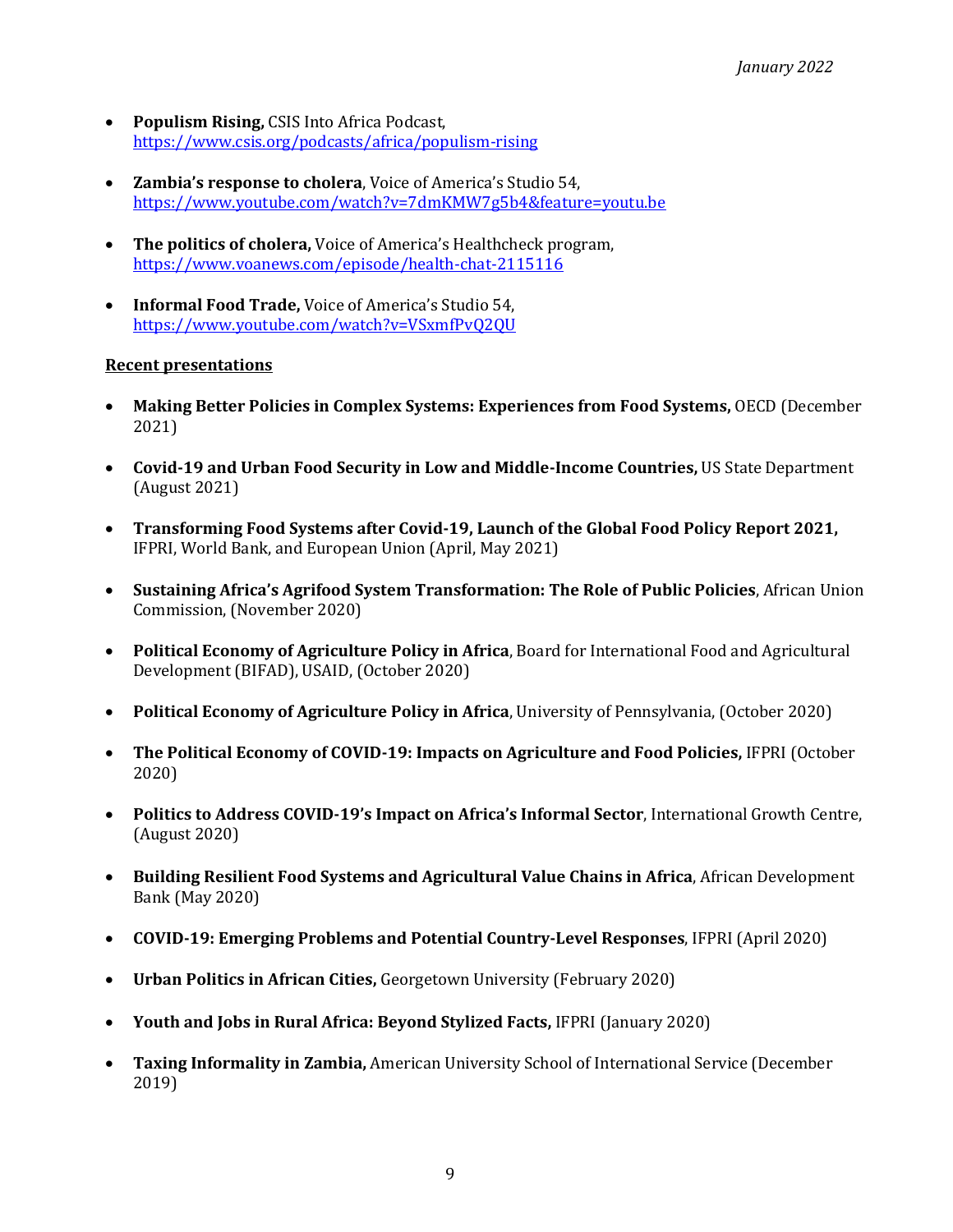- **Populism Rising,** CSIS Into Africa Podcast, <https://www.csis.org/podcasts/africa/populism-rising>
- **Zambia's response to cholera**, Voice of America's Studio 54, <https://www.youtube.com/watch?v=7dmKMW7g5b4&feature=youtu.be>
- **The politics of cholera,** Voice of America's Healthcheck program, <https://www.voanews.com/episode/health-chat-2115116>
- **Informal Food Trade,** Voice of America's Studio 54, <https://www.youtube.com/watch?v=VSxmfPvQ2QU>

#### **Recent presentations**

- **Making Better Policies in Complex Systems: Experiences from Food Systems,** OECD (December 2021)
- **Covid-19 and Urban Food Security in Low and Middle-Income Countries,** US State Department (August 2021)
- **Transforming Food Systems after Covid-19, Launch of the Global Food Policy Report 2021,**  IFPRI, World Bank, and European Union (April, May 2021)
- **Sustaining Africa's Agrifood System Transformation: The Role of Public Policies**, African Union Commission, (November 2020)
- **Political Economy of Agriculture Policy in Africa**, Board for International Food and Agricultural Development (BIFAD), USAID, (October 2020)
- **Political Economy of Agriculture Policy in Africa**, University of Pennsylvania, (October 2020)
- **The Political Economy of COVID-19: Impacts on Agriculture and Food Policies,** IFPRI (October 2020)
- **Politics to Address COVID-19's Impact on Africa's Informal Sector**, International Growth Centre, (August 2020)
- **Building Resilient Food Systems and Agricultural Value Chains in Africa**, African Development Bank (May 2020)
- **COVID-19: Emerging Problems and Potential Country-Level Responses**, IFPRI (April 2020)
- **Urban Politics in African Cities,** Georgetown University (February 2020)
- **Youth and Jobs in Rural Africa: Beyond Stylized Facts,** IFPRI (January 2020)
- **Taxing Informality in Zambia,** American University School of International Service (December 2019)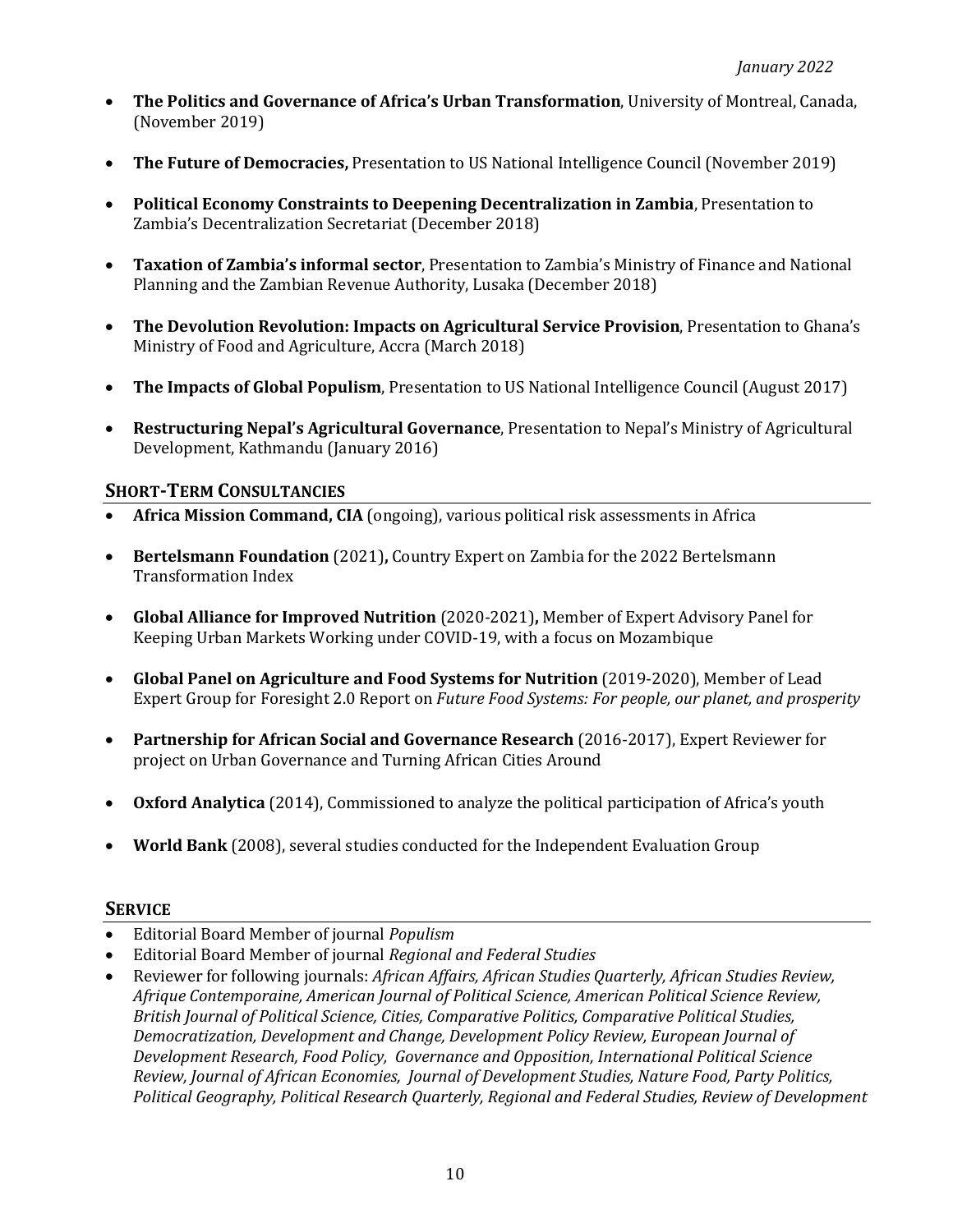- **The Politics and Governance of Africa's Urban Transformation**, University of Montreal, Canada, (November 2019)
- **The Future of Democracies,** Presentation to US National Intelligence Council (November 2019)
- **Political Economy Constraints to Deepening Decentralization in Zambia**, Presentation to Zambia's Decentralization Secretariat (December 2018)
- **Taxation of Zambia's informal sector**, Presentation to Zambia's Ministry of Finance and National Planning and the Zambian Revenue Authority, Lusaka (December 2018)
- **The Devolution Revolution: Impacts on Agricultural Service Provision**, Presentation to Ghana's Ministry of Food and Agriculture, Accra (March 2018)
- **The Impacts of Global Populism**, Presentation to US National Intelligence Council (August 2017)
- **Restructuring Nepal's Agricultural Governance**, Presentation to Nepal's Ministry of Agricultural Development, Kathmandu (January 2016)

# **SHORT-TERM CONSULTANCIES**

- **Africa Mission Command, CIA** (ongoing), various political risk assessments in Africa
- **Bertelsmann Foundation** (2021)**,** Country Expert on Zambia for the 2022 Bertelsmann Transformation Index
- **Global Alliance for Improved Nutrition** (2020-2021)**,** Member of Expert Advisory Panel for Keeping Urban Markets Working under COVID-19, with a focus on Mozambique
- **Global Panel on Agriculture and Food Systems for Nutrition** (2019-2020), Member of Lead Expert Group for Foresight 2.0 Report on *Future Food Systems: For people, our planet, and prosperity*
- **Partnership for African Social and Governance Research** (2016-2017), Expert Reviewer for project on Urban Governance and Turning African Cities Around
- **Oxford Analytica** (2014), Commissioned to analyze the political participation of Africa's youth
- **World Bank** (2008), several studies conducted for the Independent Evaluation Group

## **SERVICE**

- Editorial Board Member of journal *Populism*
- Editorial Board Member of journal *Regional and Federal Studies*
- Reviewer for following journals: *African Affairs, African Studies Quarterly, African Studies Review, Afrique Contemporaine, American Journal of Political Science, American Political Science Review, British Journal of Political Science, Cities, Comparative Politics, Comparative Political Studies, Democratization, Development and Change, Development Policy Review, European Journal of Development Research, Food Policy, Governance and Opposition, International Political Science Review, Journal of African Economies, Journal of Development Studies, Nature Food, Party Politics, Political Geography, Political Research Quarterly, Regional and Federal Studies, Review of Development*